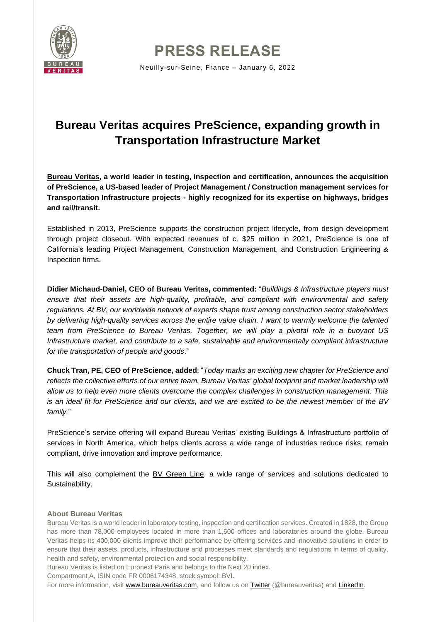

**PRESS RELEASE**

Neuilly-sur-Seine, France – January 6, 2022

# **Bureau Veritas acquires PreScience, expanding growth in Transportation Infrastructure Market**

**[Bureau Veritas,](https://group.bureauveritas.com/) a world leader in testing, inspection and certification, announces the acquisition of PreScience, a US-based leader of Project Management / Construction management services for Transportation Infrastructure projects - highly recognized for its expertise on highways, bridges and rail/transit.**

Established in 2013, PreScience supports the construction project lifecycle, from design development through project closeout. With expected revenues of c. \$25 million in 2021, PreScience is one of California's leading Project Management, Construction Management, and Construction Engineering & Inspection firms.

**Didier Michaud-Daniel, CEO of Bureau Veritas, commented:** "*Buildings & Infrastructure players must ensure that their assets are high-quality, profitable, and compliant with environmental and safety regulations. At BV, our worldwide network of experts shape trust among construction sector stakeholders by delivering high-quality services across the entire value chain. I want to warmly welcome the talented team from PreScience to Bureau Veritas. Together, we will play a pivotal role in a buoyant US Infrastructure market, and contribute to a safe, sustainable and environmentally compliant infrastructure for the transportation of people and goods*."

**Chuck Tran, PE, CEO of PreScience, added**: "*Today marks an exciting new chapter for PreScience and reflects the collective efforts of our entire team. Bureau Veritas' global footprint and market leadership will allow us to help even more clients overcome the complex challenges in construction management. This is an ideal fit for PreScience and our clients, and we are excited to be the newest member of the BV family.*"

PreScience's service offering will expand Bureau Veritas' existing Buildings & Infrastructure portfolio of services in North America, which helps clients across a wide range of industries reduce risks, remain compliant, drive innovation and improve performance.

This will also complement the [BV Green Line,](https://group.bureauveritas.com/expertise-sustainability) a wide range of services and solutions dedicated to Sustainability.

## **About Bureau Veritas**

Bureau Veritas is a world leader in laboratory testing, inspection and certification services. Created in 1828, the Group has more than 78,000 employees located in more than 1,600 offices and laboratories around the globe. Bureau Veritas helps its 400,000 clients improve their performance by offering services and innovative solutions in order to ensure that their assets, products, infrastructure and processes meet standards and regulations in terms of quality, health and safety, environmental protection and social responsibility.

Bureau Veritas is listed on Euronext Paris and belongs to the Next 20 index.

Compartment A, ISIN code FR 0006174348, stock symbol: BVI.

For more information, visit [www.bureauveritas.com,](https://group.bureauveritas.com/) and follow us on [Twitter](https://twitter.com/bureauveritas) (@bureauveritas) and [LinkedIn.](https://www.linkedin.com/company/bureau-veritas-group/)